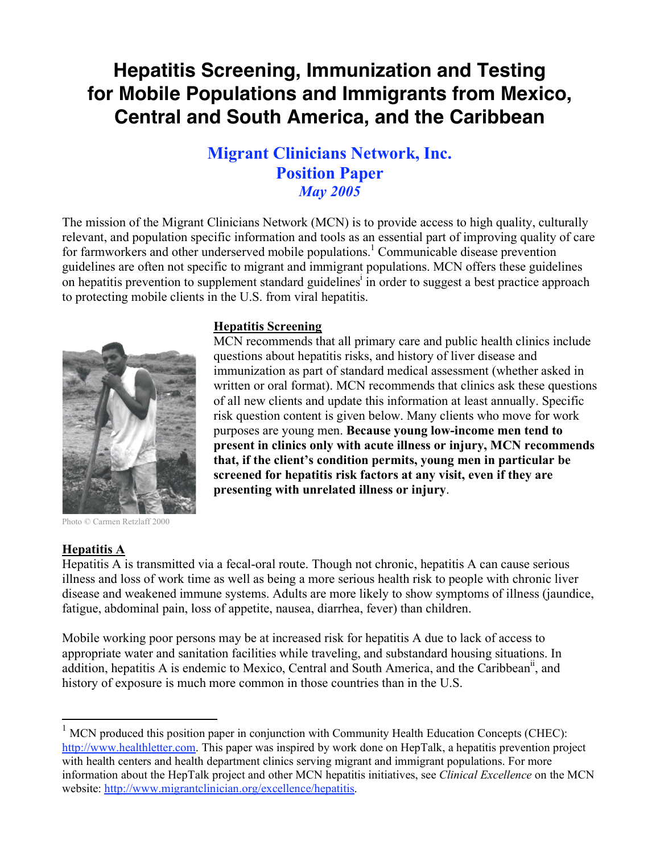# **Hepatitis Screening, Immunization and Testing for Mobile Populations and Immigrants from Mexico, Central and South America, and the Caribbean**

## **Migrant Clinicians Network, Inc. Position Paper** *May 2005*

The mission of the Migrant Clinicians Network (MCN) is to provide access to high quality, culturally relevant, and population specific information and tools as an essential part of improving quality of care for farmworkers and other underserved mobile populations.<sup>1</sup> Communicable disease prevention guidelines are often not specific to migrant and immigrant populations. MCN offers these guidelines on hepatitis prevention to supplement standard guidelines<sup>i</sup> in order to suggest a best practice approach to protecting mobile clients in the U.S. from viral hepatitis.



Photo © Carmen Retzlaff 2000

## **Hepatitis A**

Hepatitis A is transmitted via a fecal-oral route. Though not chronic, hepatitis A can cause serious illness and loss of work time as well as being a more serious health risk to people with chronic liver disease and weakened immune systems. Adults are more likely to show symptoms of illness (jaundice, fatigue, abdominal pain, loss of appetite, nausea, diarrhea, fever) than children.

Mobile working poor persons may be at increased risk for hepatitis A due to lack of access to appropriate water and sanitation facilities while traveling, and substandard housing situations. In addition, hepatitis A is endemic to Mexico, Central and South America, and the Caribbean<sup>ii</sup>, and history of exposure is much more common in those countries than in the U.S.

#### **Hepatitis Screening**

MCN recommends that all primary care and public health clinics include questions about hepatitis risks, and history of liver disease and immunization as part of standard medical assessment (whether asked in written or oral format). MCN recommends that clinics ask these questions of all new clients and update this information at least annually. Specific risk question content is given below. Many clients who move for work purposes are young men. **Because young low-income men tend to present in clinics only with acute illness or injury, MCN recommends that, if the client's condition permits, young men in particular be screened for hepatitis risk factors at any visit, even if they are presenting with unrelated illness or injury**.

 $1$  MCN produced this position paper in conjunction with Community Health Education Concepts (CHEC): http://www.healthletter.com. This paper was inspired by work done on HepTalk, a hepatitis prevention project with health centers and health department clinics serving migrant and immigrant populations. For more information about the HepTalk project and other MCN hepatitis initiatives, see *Clinical Excellence* on the MCN website: http://www.migrantclinician.org/excellence/hepatitis.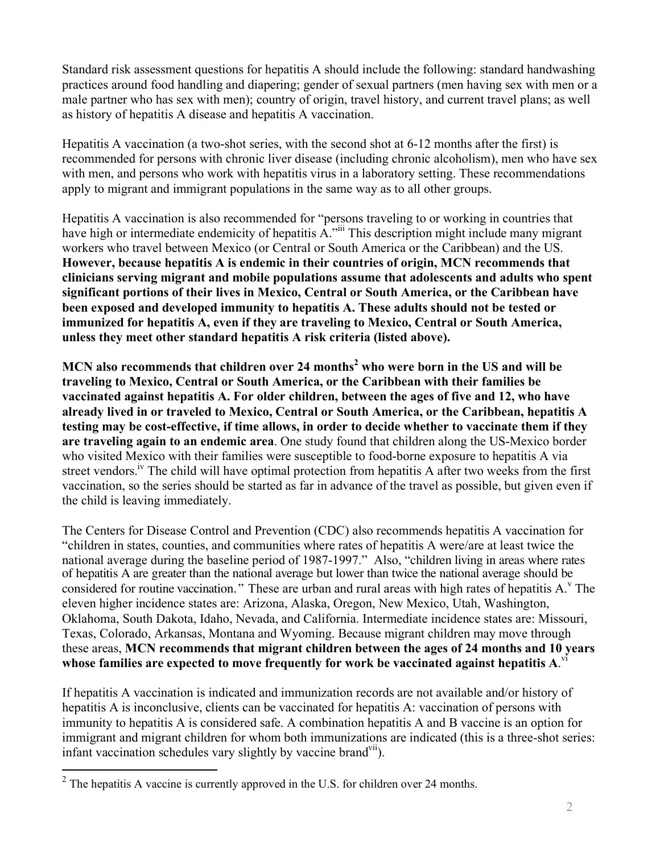Standard risk assessment questions for hepatitis A should include the following: standard handwashing practices around food handling and diapering; gender of sexual partners (men having sex with men or a male partner who has sex with men); country of origin, travel history, and current travel plans; as well as history of hepatitis A disease and hepatitis A vaccination.

Hepatitis A vaccination (a two-shot series, with the second shot at 6-12 months after the first) is recommended for persons with chronic liver disease (including chronic alcoholism), men who have sex with men, and persons who work with hepatitis virus in a laboratory setting. These recommendations apply to migrant and immigrant populations in the same way as to all other groups.

Hepatitis A vaccination is also recommended for "persons traveling to or working in countries that have high or intermediate endemicity of hepatitis A.<sup>"iii</sup> This description might include many migrant workers who travel between Mexico (or Central or South America or the Caribbean) and the US. **However, because hepatitis A is endemic in their countries of origin, MCN recommends that clinicians serving migrant and mobile populations assume that adolescents and adults who spent significant portions of their lives in Mexico, Central or South America, or the Caribbean have been exposed and developed immunity to hepatitis A. These adults should not be tested or immunized for hepatitis A, even if they are traveling to Mexico, Central or South America, unless they meet other standard hepatitis A risk criteria (listed above).** 

**MCN also recommends that children over 24 months 2 who were born in the US and will be traveling to Mexico, Central or South America, or the Caribbean with their families be vaccinated against hepatitis A. For older children, between the ages of five and 12, who have already lived in or traveled to Mexico, Central or South America, or the Caribbean, hepatitis A testing may be cost-effective, if time allows, in order to decide whether to vaccinate them if they are traveling again to an endemic area**. One study found that children along the US-Mexico border who visited Mexico with their families were susceptible to food-borne exposure to hepatitis A via street vendors.<sup>iv</sup> The child will have optimal protection from hepatitis A after two weeks from the first vaccination, so the series should be started as far in advance of the travel as possible, but given even if the child is leaving immediately.

The Centers for Disease Control and Prevention (CDC) also recommends hepatitis A vaccination for "children in states, counties, and communities where rates of hepatitis A were/are at least twice the national average during the baseline period of 1987-1997." Also, "children living in areas where rates of hepatitis A are greater than the national average but lower than twice the national average should be considered for routine vaccination." These are urban and rural areas with high rates of hepatitis A.<sup>v</sup> The eleven higher incidence states are: Arizona, Alaska, Oregon, New Mexico, Utah, Washington, Oklahoma, South Dakota, Idaho, Nevada, and California. Intermediate incidence states are: Missouri, Texas, Colorado, Arkansas, Montana and Wyoming. Because migrant children may move through these areas, **MCN recommends that migrant children between the ages of 24 months and 10 years whose families are expected to move frequently for work be vaccinated against hepatitis A**. vi

If hepatitis A vaccination is indicated and immunization records are not available and/or history of hepatitis A is inconclusive, clients can be vaccinated for hepatitis A: vaccination of persons with immunity to hepatitis A is considered safe. A combination hepatitis A and B vaccine is an option for immigrant and migrant children for whom both immunizations are indicated (this is a three-shot series: infant vaccination schedules vary slightly by vaccine brand<sup>vii</sup>).

<sup>&</sup>lt;sup>2</sup> The hepatitis A vaccine is currently approved in the U.S. for children over 24 months.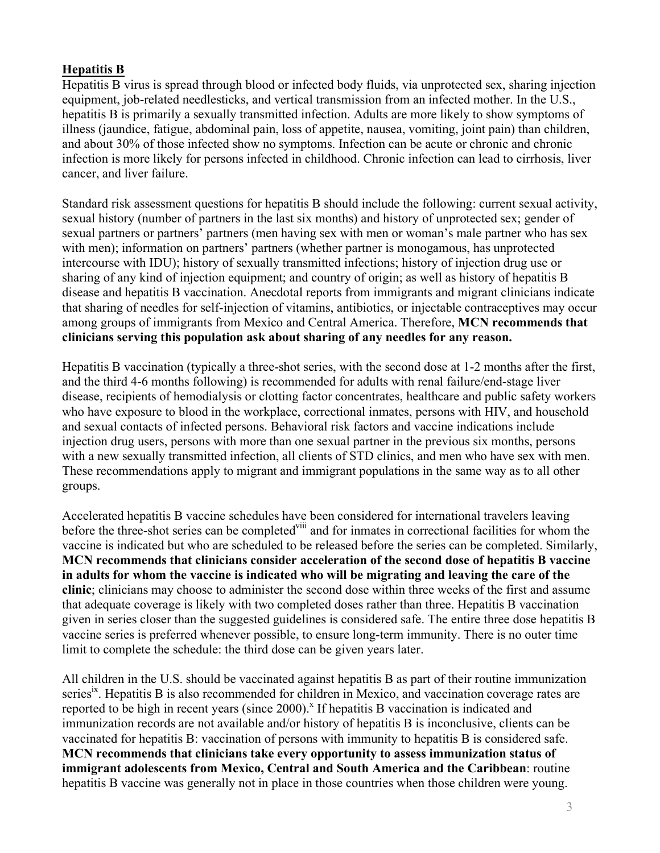## **Hepatitis B**

Hepatitis B virus is spread through blood or infected body fluids, via unprotected sex, sharing injection equipment, job-related needlesticks, and vertical transmission from an infected mother. In the U.S., hepatitis B is primarily a sexually transmitted infection. Adults are more likely to show symptoms of illness (jaundice, fatigue, abdominal pain, loss of appetite, nausea, vomiting, joint pain) than children, and about 30% of those infected show no symptoms. Infection can be acute or chronic and chronic infection is more likely for persons infected in childhood. Chronic infection can lead to cirrhosis, liver cancer, and liver failure.

Standard risk assessment questions for hepatitis B should include the following: current sexual activity, sexual history (number of partners in the last six months) and history of unprotected sex; gender of sexual partners or partners' partners (men having sex with men or woman's male partner who has sex with men); information on partners' partners (whether partner is monogamous, has unprotected intercourse with IDU); history of sexually transmitted infections; history of injection drug use or sharing of any kind of injection equipment; and country of origin; as well as history of hepatitis B disease and hepatitis B vaccination. Anecdotal reports from immigrants and migrant clinicians indicate that sharing of needles for self-injection of vitamins, antibiotics, or injectable contraceptives may occur among groups of immigrants from Mexico and Central America. Therefore, **MCN recommends that clinicians serving this population ask about sharing of any needles for any reason.** 

Hepatitis B vaccination (typically a three-shot series, with the second dose at 1-2 months after the first, and the third 4-6 months following) is recommended for adults with renal failure/end-stage liver disease, recipients of hemodialysis or clotting factor concentrates, healthcare and public safety workers who have exposure to blood in the workplace, correctional inmates, persons with HIV, and household and sexual contacts of infected persons. Behavioral risk factors and vaccine indications include injection drug users, persons with more than one sexual partner in the previous six months, persons with a new sexually transmitted infection, all clients of STD clinics, and men who have sex with men. These recommendations apply to migrant and immigrant populations in the same way as to all other groups.

Accelerated hepatitis B vaccine schedules have been considered for international travelers leaving before the three-shot series can be completed in and for inmates in correctional facilities for whom the vaccine is indicated but who are scheduled to be released before the series can be completed. Similarly, **MCN recommends that clinicians consider acceleration of the second dose of hepatitis B vaccine in adults for whom the vaccine is indicated who will be migrating and leaving the care of the clinic**; clinicians may choose to administer the second dose within three weeks of the first and assume that adequate coverage is likely with two completed doses rather than three. Hepatitis B vaccination given in series closer than the suggested guidelines is considered safe. The entire three dose hepatitis B vaccine series is preferred whenever possible, to ensure long-term immunity. There is no outer time limit to complete the schedule: the third dose can be given years later.

All children in the U.S. should be vaccinated against hepatitis B as part of their routine immunization series<sup>ix</sup>. Hepatitis B is also recommended for children in Mexico, and vaccination coverage rates are reported to be high in recent years (since  $2000$ ).<sup>x</sup> If hepatitis B vaccination is indicated and immunization records are not available and/or history of hepatitis B is inconclusive, clients can be vaccinated for hepatitis B: vaccination of persons with immunity to hepatitis B is considered safe. **MCN recommends that clinicians take every opportunity to assess immunization status of immigrant adolescents from Mexico, Central and South America and the Caribbean**: routine hepatitis B vaccine was generally not in place in those countries when those children were young.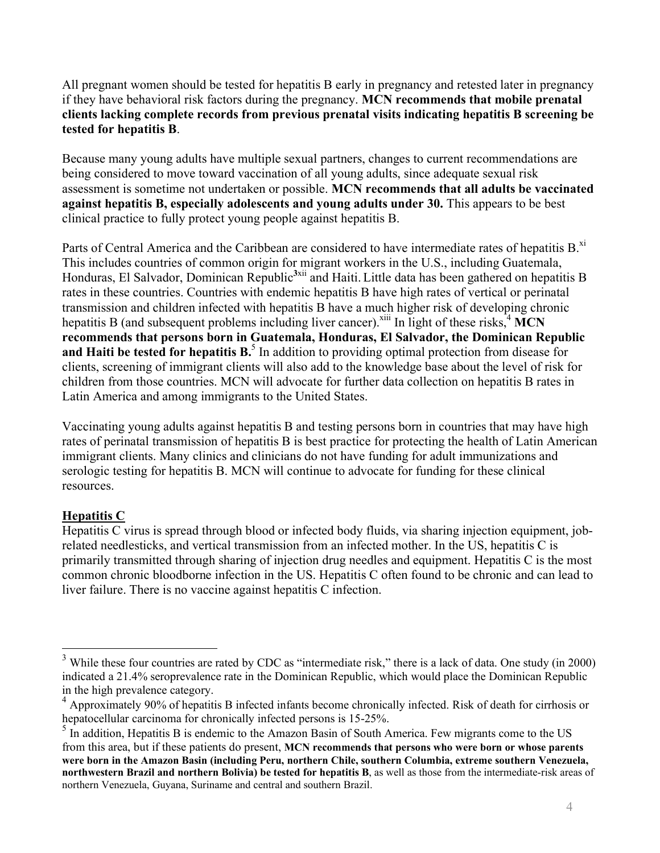All pregnant women should be tested for hepatitis B early in pregnancy and retested later in pregnancy if they have behavioral risk factors during the pregnancy. **MCN recommends that mobile prenatal clients lacking complete records from previous prenatal visits indicating hepatitis B screening be tested for hepatitis B**.

Because many young adults have multiple sexual partners, changes to current recommendations are being considered to move toward vaccination of all young adults, since adequate sexual risk assessment is sometime not undertaken or possible. **MCN recommends that all adults be vaccinated against hepatitis B, especially adolescents and young adults under 30.** This appears to be best clinical practice to fully protect young people against hepatitis B.

Parts of Central America and the Caribbean are considered to have intermediate rates of hepatitis B.<sup>xi</sup> This includes countries of common origin for migrant workers in the U.S., including Guatemala, Honduras, El Salvador, Dominican Republic **3**xii and Haiti.Little data has been gathered on hepatitis B rates in these countries. Countries with endemic hepatitis B have high rates of vertical or perinatal transmission and children infected with hepatitis B have a much higher risk of developing chronic hepatitis B (and subsequent problems including liver cancer).<sup>xiii</sup> In light of these risks,  $4\overline{MCN}$ **recommends that persons born in Guatemala, Honduras, El Salvador, the Dominican Republic** and Haiti be tested for hepatitis B.<sup>5</sup> In addition to providing optimal protection from disease for clients, screening of immigrant clients will also add to the knowledge base about the level of risk for children from those countries. MCN will advocate for further data collection on hepatitis B rates in Latin America and among immigrants to the United States.

Vaccinating young adults against hepatitis B and testing persons born in countries that may have high rates of perinatal transmission of hepatitis B is best practice for protecting the health of Latin American immigrant clients. Many clinics and clinicians do not have funding for adult immunizations and serologic testing for hepatitis B. MCN will continue to advocate for funding for these clinical resources.

## **Hepatitis C**

Hepatitis C virus is spread through blood or infected body fluids, via sharing injection equipment, jobrelated needlesticks, and vertical transmission from an infected mother. In the US, hepatitis C is primarily transmitted through sharing of injection drug needles and equipment. Hepatitis C is the most common chronic bloodborne infection in the US. Hepatitis C often found to be chronic and can lead to liver failure. There is no vaccine against hepatitis C infection.

<sup>&</sup>lt;sup>3</sup> While these four countries are rated by CDC as "intermediate risk," there is a lack of data. One study (in 2000) indicated a 21.4% seroprevalence rate in the Dominican Republic, which would place the Dominican Republic

in the high prevalence category.<br><sup>4</sup> Approximately 90% of hepatitis B infected infants become chronically infected. Risk of death for cirrhosis or hepatocellular carcinoma for chronically infected persons is  $15{\text -}25\%$ .

 $<sup>5</sup>$  In addition, Hepatitis B is endemic to the Amazon Basin of South America. Few migrants come to the US</sup> from this area, but if these patients do present, **MCN recommends that persons who were born or whose parents were born in the Amazon Basin (including Peru, northern Chile, southern Columbia, extreme southern Venezuela, northwestern Brazil and northern Bolivia) be tested for hepatitis B**, as well as those from the intermediate-risk areas of northern Venezuela, Guyana, Suriname and central and southern Brazil.